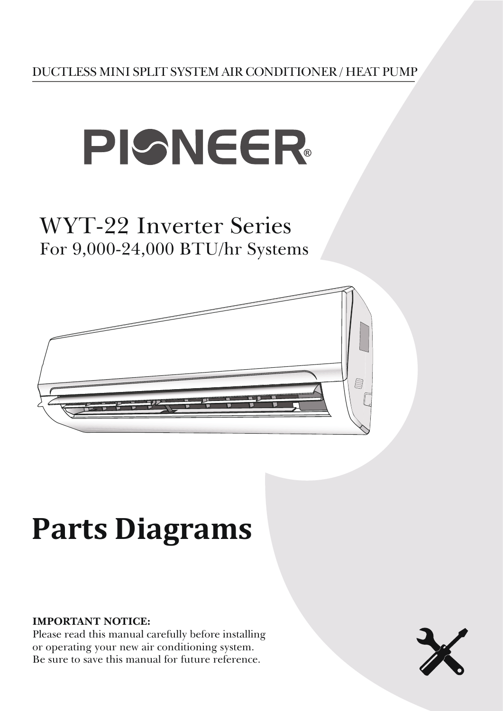

## WYT-22 Inverter Series For 9,000-24,000 BTU/hr Systems



# **Parts Diagrams**

#### **IMPORTANT NOTICE:**

Please read this manual carefully before installing or operating your new air conditioning system. Be sure to save this manual for future reference.

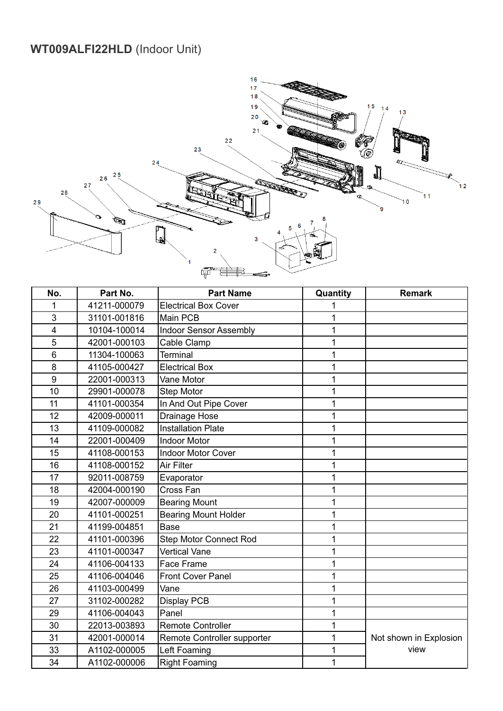#### **WT009ALFI22HLD** (Indoor Unit)



| No.            | Part No.     | <b>Part Name</b>              | Quantity     | <b>Remark</b>          |
|----------------|--------------|-------------------------------|--------------|------------------------|
| 1              | 41211-000079 | <b>Electrical Box Cover</b>   | 1            |                        |
| 3              | 31101-001816 | <b>Main PCB</b>               | 1            |                        |
| 4              | 10104-100014 | <b>Indoor Sensor Assembly</b> | 1            |                        |
| 5              | 42001-000103 | Cable Clamp                   | $\mathbf 1$  |                        |
| $6\phantom{1}$ | 11304-100063 | <b>Terminal</b>               | 1            |                        |
| 8              | 41105-000427 | <b>Electrical Box</b>         | 1            |                        |
| 9              | 22001-000313 | Vane Motor                    | 1            |                        |
| 10             | 29901-000078 | <b>Step Motor</b>             | 1            |                        |
| 11             | 41101-000354 | In And Out Pipe Cover         | 1            |                        |
| 12             | 42009-000011 | Drainage Hose                 | 1            |                        |
| 13             | 41109-000082 | <b>Installation Plate</b>     | 1            |                        |
| 14             | 22001-000409 | <b>Indoor Motor</b>           | 1            |                        |
| 15             | 41108-000153 | Indoor Motor Cover            | $\mathbf{1}$ |                        |
| 16             | 41108-000152 | Air Filter                    | 1            |                        |
| 17             | 92011-008759 | Evaporator                    | 1            |                        |
| 18             | 42004-000190 | Cross Fan                     | 1            |                        |
| 19             | 42007-000009 | <b>Bearing Mount</b>          | 1            |                        |
| 20             | 41101-000251 | <b>Bearing Mount Holder</b>   | 1            |                        |
| 21             | 41199-004851 | <b>Base</b>                   | 1            |                        |
| 22             | 41101-000396 | Step Motor Connect Rod        | 1            |                        |
| 23             | 41101-000347 | <b>Vertical Vane</b>          | 1            |                        |
| 24             | 41106-004133 | Face Frame                    | 1            |                        |
| 25             | 41106-004046 | <b>Front Cover Panel</b>      | 1            |                        |
| 26             | 41103-000499 | Vane                          | 1            |                        |
| 27             | 31102-000282 | Display PCB                   | $\mathbf{1}$ |                        |
| 29             | 41106-004043 | Panel                         | 1            |                        |
| 30             | 22013-003893 | <b>Remote Controller</b>      | 1            |                        |
| 31             | 42001-000014 | Remote Controller supporter   | 1            | Not shown in Explosion |
| 33             | A1102-000005 | Left Foaming                  | 1            | view                   |
| 34             | A1102-000006 | <b>Right Foaming</b>          | 1            |                        |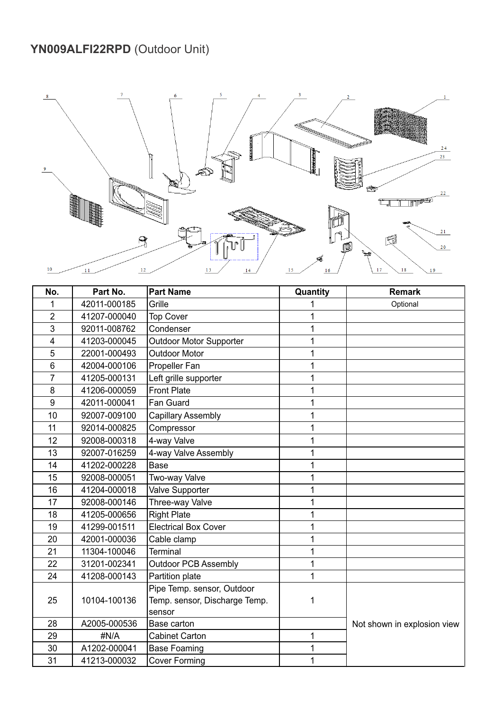## **YN009ALFI22RPD** (Outdoor Unit)



| No.            | Part No.     | <b>Part Name</b>              | Quantity | <b>Remark</b>               |
|----------------|--------------|-------------------------------|----------|-----------------------------|
| 1              | 42011-000185 | Grille                        | 1        | Optional                    |
| $\overline{2}$ | 41207-000040 | <b>Top Cover</b>              | 1        |                             |
| $\overline{3}$ | 92011-008762 | Condenser                     | 1        |                             |
| 4              | 41203-000045 | Outdoor Motor Supporter       | 1        |                             |
| 5              | 22001-000493 | <b>Outdoor Motor</b>          | 1        |                             |
| 6              | 42004-000106 | Propeller Fan                 | 1        |                             |
| $\overline{7}$ | 41205-000131 | Left grille supporter         | 1        |                             |
| 8              | 41206-000059 | <b>Front Plate</b>            | 1        |                             |
| 9              | 42011-000041 | Fan Guard                     | 1        |                             |
| 10             | 92007-009100 | <b>Capillary Assembly</b>     | 1        |                             |
| 11             | 92014-000825 | Compressor                    | 1        |                             |
| 12             | 92008-000318 | 4-way Valve                   | 1        |                             |
| 13             | 92007-016259 | 4-way Valve Assembly          | 1        |                             |
| 14             | 41202-000228 | <b>Base</b>                   | 1        |                             |
| 15             | 92008-000051 | Two-way Valve                 | 1        |                             |
| 16             | 41204-000018 | Valve Supporter               | 1        |                             |
| 17             | 92008-000146 | Three-way Valve               | 1        |                             |
| 18             | 41205-000656 | <b>Right Plate</b>            | 1        |                             |
| 19             | 41299-001511 | <b>Electrical Box Cover</b>   | 1        |                             |
| 20             | 42001-000036 | Cable clamp                   | 1        |                             |
| 21             | 11304-100046 | <b>Terminal</b>               | 1        |                             |
| 22             | 31201-002341 | <b>Outdoor PCB Assembly</b>   | 1        |                             |
| 24             | 41208-000143 | Partition plate               | 1        |                             |
|                |              | Pipe Temp. sensor, Outdoor    |          |                             |
| 25             | 10104-100136 | Temp. sensor, Discharge Temp. | 1        |                             |
|                |              | sensor                        |          |                             |
| 28             | A2005-000536 | Base carton                   |          | Not shown in explosion view |
| 29             | #N/A         | <b>Cabinet Carton</b>         | 1        |                             |
| 30             | A1202-000041 | <b>Base Foaming</b>           | 1        |                             |
| 31             | 41213-000032 | <b>Cover Forming</b>          | 1        |                             |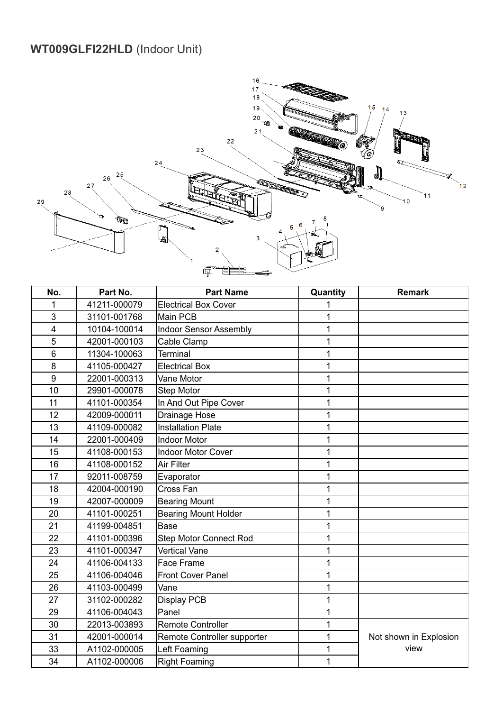#### **WT009GLFI22HLD** (Indoor Unit)



| No. | Part No.     | <b>Part Name</b>              | Quantity | <b>Remark</b>          |
|-----|--------------|-------------------------------|----------|------------------------|
| 1   | 41211-000079 | <b>Electrical Box Cover</b>   |          |                        |
| 3   | 31101-001768 | Main PCB                      | 1        |                        |
| 4   | 10104-100014 | <b>Indoor Sensor Assembly</b> | 1        |                        |
| 5   | 42001-000103 | Cable Clamp                   | 1        |                        |
| 6   | 11304-100063 | <b>Terminal</b>               | 1        |                        |
| 8   | 41105-000427 | <b>Electrical Box</b>         | 1        |                        |
| 9   | 22001-000313 | Vane Motor                    | 1        |                        |
| 10  | 29901-000078 | <b>Step Motor</b>             | 1        |                        |
| 11  | 41101-000354 | In And Out Pipe Cover         | 1        |                        |
| 12  | 42009-000011 | Drainage Hose                 | 1        |                        |
| 13  | 41109-000082 | <b>Installation Plate</b>     | 1        |                        |
| 14  | 22001-000409 | <b>Indoor Motor</b>           | 1        |                        |
| 15  | 41108-000153 | <b>Indoor Motor Cover</b>     | 1        |                        |
| 16  | 41108-000152 | Air Filter                    | 1        |                        |
| 17  | 92011-008759 | Evaporator                    | 1        |                        |
| 18  | 42004-000190 | Cross Fan                     | 1        |                        |
| 19  | 42007-000009 | <b>Bearing Mount</b>          | 1        |                        |
| 20  | 41101-000251 | <b>Bearing Mount Holder</b>   | 1        |                        |
| 21  | 41199-004851 | <b>Base</b>                   | 1        |                        |
| 22  | 41101-000396 | <b>Step Motor Connect Rod</b> | 1        |                        |
| 23  | 41101-000347 | <b>Vertical Vane</b>          | 1        |                        |
| 24  | 41106-004133 | Face Frame                    | 1        |                        |
| 25  | 41106-004046 | Front Cover Panel             | 1        |                        |
| 26  | 41103-000499 | Vane                          | 1        |                        |
| 27  | 31102-000282 | Display PCB                   | 1        |                        |
| 29  | 41106-004043 | Panel                         | 1        |                        |
| 30  | 22013-003893 | <b>Remote Controller</b>      | 1        |                        |
| 31  | 42001-000014 | Remote Controller supporter   | 1        | Not shown in Explosion |
| 33  | A1102-000005 | Left Foaming                  | 1        | view                   |
| 34  | A1102-000006 | <b>Right Foaming</b>          | 1        |                        |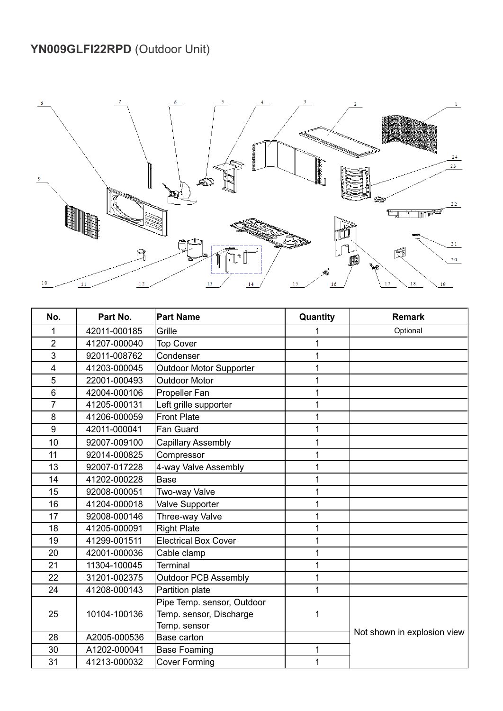#### **YN009GLFI22RPD** (Outdoor Unit)



| No.            | Part No.     | <b>Part Name</b>               | Quantity | <b>Remark</b>               |
|----------------|--------------|--------------------------------|----------|-----------------------------|
| 1              | 42011-000185 | Grille                         |          | Optional                    |
| $\overline{2}$ | 41207-000040 | <b>Top Cover</b>               |          |                             |
| 3              | 92011-008762 | Condenser                      | 1        |                             |
| 4              | 41203-000045 | <b>Outdoor Motor Supporter</b> |          |                             |
| 5              | 22001-000493 | <b>Outdoor Motor</b>           | 1        |                             |
| $6\phantom{1}$ | 42004-000106 | Propeller Fan                  |          |                             |
| 7              | 41205-000131 | Left grille supporter          | 1        |                             |
| 8              | 41206-000059 | <b>Front Plate</b>             | 1        |                             |
| 9              | 42011-000041 | Fan Guard                      | 1        |                             |
| 10             | 92007-009100 | <b>Capillary Assembly</b>      |          |                             |
| 11             | 92014-000825 | Compressor                     |          |                             |
| 13             | 92007-017228 | 4-way Valve Assembly           | 1        |                             |
| 14             | 41202-000228 | <b>Base</b>                    | 1        |                             |
| 15             | 92008-000051 | Two-way Valve                  | 1        |                             |
| 16             | 41204-000018 | Valve Supporter                | 1        |                             |
| 17             | 92008-000146 | Three-way Valve                | 1        |                             |
| 18             | 41205-000091 | <b>Right Plate</b>             | 1        |                             |
| 19             | 41299-001511 | <b>Electrical Box Cover</b>    | 1        |                             |
| 20             | 42001-000036 | Cable clamp                    | 1        |                             |
| 21             | 11304-100045 | Terminal                       | 1        |                             |
| 22             | 31201-002375 | <b>Outdoor PCB Assembly</b>    |          |                             |
| 24             | 41208-000143 | Partition plate                | 1        |                             |
|                |              | Pipe Temp. sensor, Outdoor     |          |                             |
| 25             | 10104-100136 | Temp. sensor, Discharge        | 1        |                             |
|                |              | Temp. sensor                   |          | Not shown in explosion view |
| 28             | A2005-000536 | Base carton                    |          |                             |
| 30             | A1202-000041 | <b>Base Foaming</b>            | 1        |                             |
| 31             | 41213-000032 | <b>Cover Forming</b>           | 1        |                             |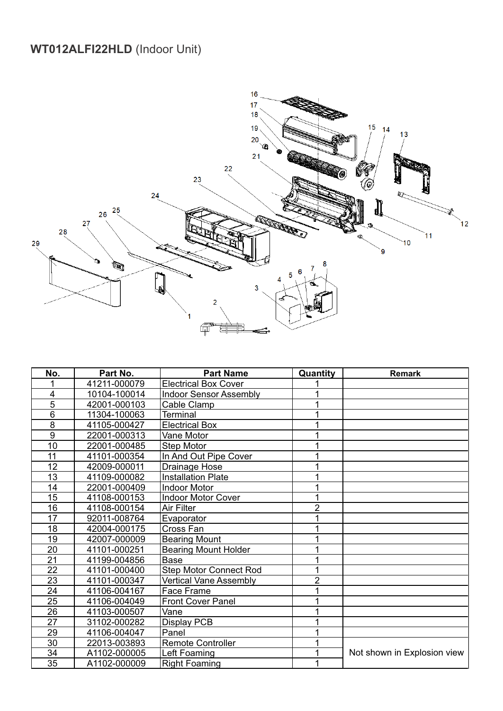#### **WT012ALFI22HLD** (Indoor Unit)



| No.             | Part No.     | <b>Part Name</b>              | Quantity       | <b>Remark</b>               |
|-----------------|--------------|-------------------------------|----------------|-----------------------------|
|                 | 41211-000079 | <b>Electrical Box Cover</b>   |                |                             |
| $\overline{4}$  | 10104-100014 | <b>Indoor Sensor Assembly</b> |                |                             |
| 5               | 42001-000103 | Cable Clamp                   |                |                             |
| $6\phantom{1}6$ | 11304-100063 | <b>Terminal</b>               |                |                             |
| 8               | 41105-000427 | <b>Electrical Box</b>         |                |                             |
| 9               | 22001-000313 | Vane Motor                    |                |                             |
| 10              | 22001-000485 | Step Motor                    |                |                             |
| 11              | 41101-000354 | In And Out Pipe Cover         |                |                             |
| 12              | 42009-000011 | Drainage Hose                 |                |                             |
| 13              | 41109-000082 | <b>Installation Plate</b>     |                |                             |
| 14              | 22001-000409 | <b>Indoor Motor</b>           |                |                             |
| $\overline{15}$ | 41108-000153 | <b>Indoor Motor Cover</b>     |                |                             |
| 16              | 41108-000154 | Air Filter                    | $\overline{2}$ |                             |
| 17              | 92011-008764 | Evaporator                    |                |                             |
| 18              | 42004-000175 | Cross Fan                     |                |                             |
| 19              | 42007-000009 | <b>Bearing Mount</b>          |                |                             |
| 20              | 41101-000251 | <b>Bearing Mount Holder</b>   |                |                             |
| $\overline{21}$ | 41199-004856 | <b>Base</b>                   |                |                             |
| 22              | 41101-000400 | <b>Step Motor Connect Rod</b> |                |                             |
| 23              | 41101-000347 | <b>Vertical Vane Assembly</b> | $\overline{2}$ |                             |
| 24              | 41106-004167 | Face Frame                    |                |                             |
| $\overline{25}$ | 41106-004049 | <b>Front Cover Panel</b>      |                |                             |
| 26              | 41103-000507 | Vane                          |                |                             |
| 27              | 31102-000282 | <b>Display PCB</b>            |                |                             |
| 29              | 41106-004047 | Panel                         |                |                             |
| 30              | 22013-003893 | <b>Remote Controller</b>      |                |                             |
| 34              | A1102-000005 | Left Foaming                  |                | Not shown in Explosion view |
| 35              | A1102-000009 | <b>Right Foaming</b>          |                |                             |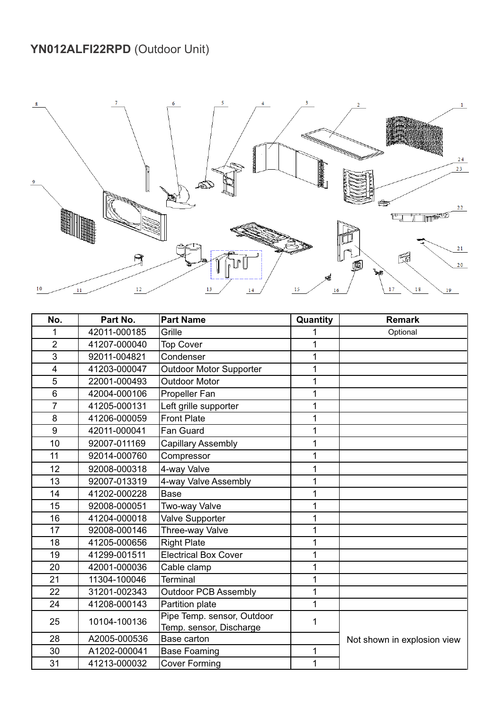## **YN012ALFI22RPD** (Outdoor Unit)



| No.                     | Part No.     | <b>Part Name</b>               | Quantity     | <b>Remark</b>               |
|-------------------------|--------------|--------------------------------|--------------|-----------------------------|
| 1                       | 42011-000185 | Grille                         | 1            | Optional                    |
| $\overline{2}$          | 41207-000040 | <b>Top Cover</b>               | 1            |                             |
| 3                       | 92011-004821 | Condenser                      | 1            |                             |
| $\overline{\mathbf{4}}$ | 41203-000047 | <b>Outdoor Motor Supporter</b> | $\mathbf{1}$ |                             |
| 5                       | 22001-000493 | <b>Outdoor Motor</b>           | 1            |                             |
| 6                       | 42004-000106 | <b>Propeller Fan</b>           | $\mathbf 1$  |                             |
| $\overline{7}$          | 41205-000131 | Left grille supporter          | 1            |                             |
| 8                       | 41206-000059 | <b>Front Plate</b>             | 1            |                             |
| 9                       | 42011-000041 | Fan Guard                      | 1            |                             |
| 10                      | 92007-011169 | <b>Capillary Assembly</b>      | 1            |                             |
| 11                      | 92014-000760 | Compressor                     | 1            |                             |
| 12                      | 92008-000318 | 4-way Valve                    | 1            |                             |
| 13                      | 92007-013319 | 4-way Valve Assembly           | 1            |                             |
| 14                      | 41202-000228 | Base                           | 1            |                             |
| 15                      | 92008-000051 | Two-way Valve                  | 1            |                             |
| 16                      | 41204-000018 | Valve Supporter                | 1            |                             |
| 17                      | 92008-000146 | Three-way Valve                | 1            |                             |
| 18                      | 41205-000656 | <b>Right Plate</b>             | 1            |                             |
| 19                      | 41299-001511 | <b>Electrical Box Cover</b>    | 1            |                             |
| 20                      | 42001-000036 | Cable clamp                    | 1            |                             |
| 21                      | 11304-100046 | <b>Terminal</b>                | 1            |                             |
| 22                      | 31201-002343 | <b>Outdoor PCB Assembly</b>    | 1            |                             |
| 24                      | 41208-000143 | Partition plate                | $\mathbf{1}$ |                             |
| 25                      | 10104-100136 | Pipe Temp. sensor, Outdoor     | 1            |                             |
|                         |              | Temp. sensor, Discharge        |              |                             |
| 28                      | A2005-000536 | Base carton                    |              | Not shown in explosion view |
| 30                      | A1202-000041 | <b>Base Foaming</b>            | 1            |                             |
| 31                      | 41213-000032 | Cover Forming                  | 1            |                             |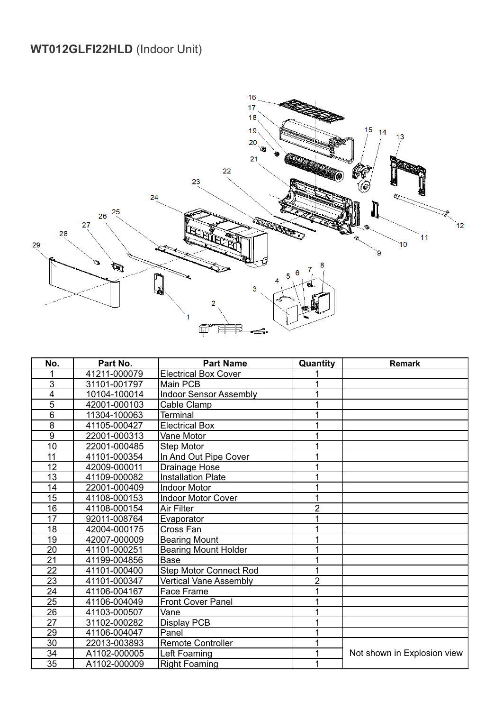#### **WT012GLFI22HLD** (Indoor Unit)



| No.             | Part No.     | <b>Part Name</b>              | Quantity       | <b>Remark</b>               |
|-----------------|--------------|-------------------------------|----------------|-----------------------------|
|                 | 41211-000079 | <b>Electrical Box Cover</b>   |                |                             |
| 3               | 31101-001797 | Main PCB                      |                |                             |
| 4               | 10104-100014 | <b>Indoor Sensor Assembly</b> |                |                             |
| 5               | 42001-000103 | Cable Clamp                   |                |                             |
| $6\phantom{1}6$ | 11304-100063 | Terminal                      |                |                             |
| 8               | 41105-000427 | <b>Electrical Box</b>         |                |                             |
| 9               | 22001-000313 | Vane Motor                    |                |                             |
| 10              | 22001-000485 | Step Motor                    |                |                             |
| $\overline{11}$ | 41101-000354 | In And Out Pipe Cover         |                |                             |
| 12              | 42009-000011 | Drainage Hose                 |                |                             |
| 13              | 41109-000082 | <b>Installation Plate</b>     |                |                             |
| 14              | 22001-000409 | <b>Indoor Motor</b>           |                |                             |
| 15              | 41108-000153 | Indoor Motor Cover            |                |                             |
| 16              | 41108-000154 | Air Filter                    | $\overline{2}$ |                             |
| 17              | 92011-008764 | Evaporator                    |                |                             |
| 18              | 42004-000175 | Cross Fan                     |                |                             |
| 19              | 42007-000009 | <b>Bearing Mount</b>          |                |                             |
| 20              | 41101-000251 | <b>Bearing Mount Holder</b>   |                |                             |
| $\overline{21}$ | 41199-004856 | <b>Base</b>                   |                |                             |
| $\overline{22}$ | 41101-000400 | <b>Step Motor Connect Rod</b> |                |                             |
| $\overline{23}$ | 41101-000347 | <b>Vertical Vane Assembly</b> | $\overline{2}$ |                             |
| $\overline{24}$ | 41106-004167 | Face Frame                    |                |                             |
| 25              | 41106-004049 | <b>Front Cover Panel</b>      |                |                             |
| $\overline{26}$ | 41103-000507 | Vane                          |                |                             |
| 27              | 31102-000282 | Display PCB                   |                |                             |
| 29              | 41106-004047 | Panel                         |                |                             |
| $\overline{30}$ | 22013-003893 | <b>Remote Controller</b>      |                |                             |
| $\overline{34}$ | A1102-000005 | Left Foaming                  |                | Not shown in Explosion view |
| 35              | A1102-000009 | <b>Right Foaming</b>          |                |                             |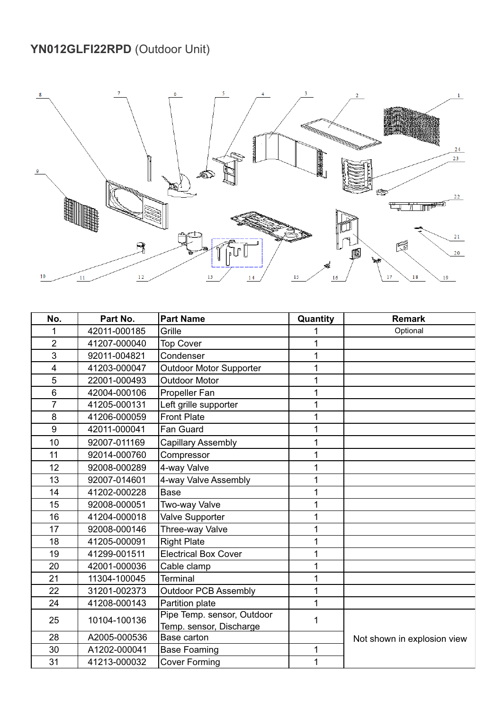## **YN012GLFI22RPD** (Outdoor Unit)



| No.            | Part No.     | <b>Part Name</b>               | Quantity | <b>Remark</b>               |
|----------------|--------------|--------------------------------|----------|-----------------------------|
|                | 42011-000185 | Grille                         |          | Optional                    |
| $\overline{2}$ | 41207-000040 | <b>Top Cover</b>               | 1        |                             |
| 3              | 92011-004821 | Condenser                      | 1        |                             |
| $\overline{4}$ | 41203-000047 | <b>Outdoor Motor Supporter</b> | 1        |                             |
| 5              | 22001-000493 | <b>Outdoor Motor</b>           | 1        |                             |
| 6              | 42004-000106 | Propeller Fan                  | 1        |                             |
| $\overline{7}$ | 41205-000131 | Left grille supporter          | 1        |                             |
| 8              | 41206-000059 | <b>Front Plate</b>             | 1        |                             |
| 9              | 42011-000041 | Fan Guard                      | 1        |                             |
| 10             | 92007-011169 | <b>Capillary Assembly</b>      | 1        |                             |
| 11             | 92014-000760 | Compressor                     | 1        |                             |
| 12             | 92008-000289 | 4-way Valve                    | 1        |                             |
| 13             | 92007-014601 | 4-way Valve Assembly           | 1        |                             |
| 14             | 41202-000228 | <b>Base</b>                    | 1        |                             |
| 15             | 92008-000051 | Two-way Valve                  | 1        |                             |
| 16             | 41204-000018 | Valve Supporter                | 1        |                             |
| 17             | 92008-000146 | Three-way Valve                | 1        |                             |
| 18             | 41205-000091 | <b>Right Plate</b>             | 1        |                             |
| 19             | 41299-001511 | <b>Electrical Box Cover</b>    | 1        |                             |
| 20             | 42001-000036 | Cable clamp                    | 1        |                             |
| 21             | 11304-100045 | <b>Terminal</b>                | 1        |                             |
| 22             | 31201-002373 | <b>Outdoor PCB Assembly</b>    | 1        |                             |
| 24             | 41208-000143 | Partition plate                | 1        |                             |
| 25             | 10104-100136 | Pipe Temp. sensor, Outdoor     | 1        |                             |
|                |              | Temp. sensor, Discharge        |          |                             |
| 28             | A2005-000536 | Base carton                    |          | Not shown in explosion view |
| 30             | A1202-000041 | <b>Base Foaming</b>            | 1        |                             |
| 31             | 41213-000032 | <b>Cover Forming</b>           | 1        |                             |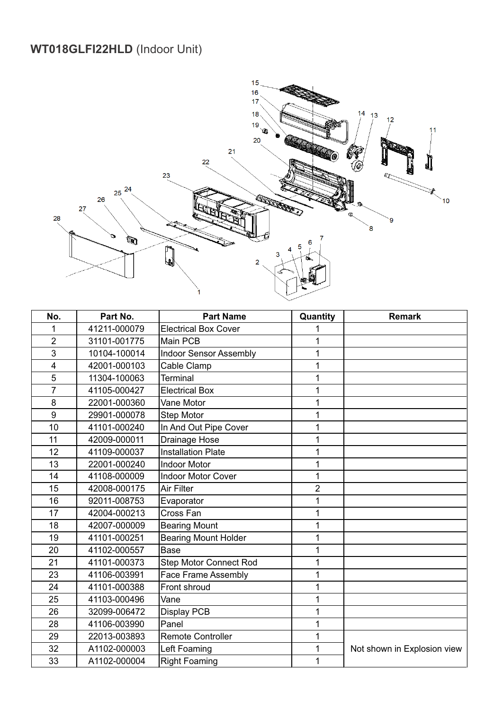#### **WT018GLFI22HLD** (Indoor Unit)



| No.                     | Part No.     | <b>Part Name</b>              | Quantity       | <b>Remark</b>               |
|-------------------------|--------------|-------------------------------|----------------|-----------------------------|
| 1                       | 41211-000079 | <b>Electrical Box Cover</b>   | 1              |                             |
| $\overline{2}$          | 31101-001775 | <b>Main PCB</b>               | 1              |                             |
| 3                       | 10104-100014 | <b>Indoor Sensor Assembly</b> | 1              |                             |
| $\overline{\mathbf{4}}$ | 42001-000103 | Cable Clamp                   | 1              |                             |
| 5                       | 11304-100063 | Terminal                      | 1              |                             |
| $\overline{7}$          | 41105-000427 | <b>Electrical Box</b>         | 1              |                             |
| 8                       | 22001-000360 | Vane Motor                    | 1              |                             |
| 9                       | 29901-000078 | <b>Step Motor</b>             | 1              |                             |
| 10                      | 41101-000240 | In And Out Pipe Cover         | 1              |                             |
| 11                      | 42009-000011 | Drainage Hose                 | 1              |                             |
| 12                      | 41109-000037 | <b>Installation Plate</b>     | 1              |                             |
| 13                      | 22001-000240 | <b>Indoor Motor</b>           | 1              |                             |
| 14                      | 41108-000009 | <b>Indoor Motor Cover</b>     | 1              |                             |
| 15                      | 42008-000175 | <b>Air Filter</b>             | $\overline{2}$ |                             |
| 16                      | 92011-008753 | Evaporator                    | 1              |                             |
| 17                      | 42004-000213 | Cross Fan                     | 1              |                             |
| 18                      | 42007-000009 | <b>Bearing Mount</b>          | 1              |                             |
| 19                      | 41101-000251 | <b>Bearing Mount Holder</b>   | 1              |                             |
| 20                      | 41102-000557 | <b>Base</b>                   | 1              |                             |
| 21                      | 41101-000373 | <b>Step Motor Connect Rod</b> | 1              |                             |
| 23                      | 41106-003991 | <b>Face Frame Assembly</b>    | 1              |                             |
| 24                      | 41101-000388 | Front shroud                  | 1              |                             |
| 25                      | 41103-000496 | Vane                          | 1              |                             |
| 26                      | 32099-006472 | Display PCB                   | 1              |                             |
| 28                      | 41106-003990 | Panel                         | 1              |                             |
| 29                      | 22013-003893 | <b>Remote Controller</b>      | 1              |                             |
| 32                      | A1102-000003 | Left Foaming                  | 1              | Not shown in Explosion view |
| 33                      | A1102-000004 | <b>Right Foaming</b>          | 1              |                             |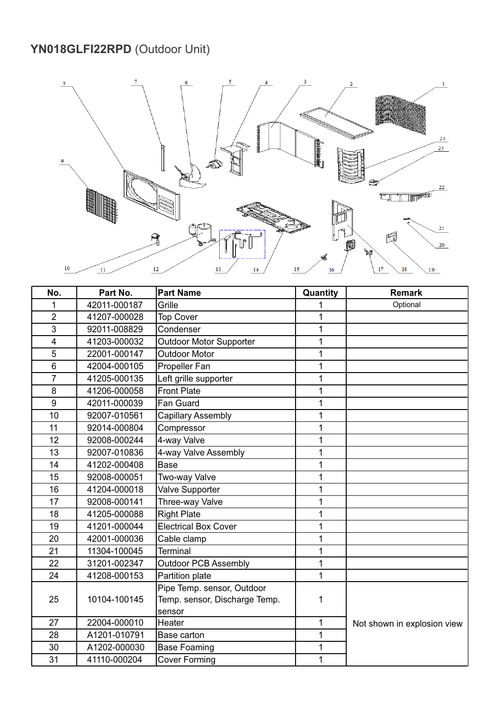#### **YN018GLFI22RPD** (Outdoor Unit)



| No.                     | Part No.     | <b>Part Name</b>               | Quantity     | <b>Remark</b>               |
|-------------------------|--------------|--------------------------------|--------------|-----------------------------|
| 1                       | 42011-000187 | Grille                         |              | Optional                    |
| $\overline{2}$          | 41207-000028 | <b>Top Cover</b>               | 1            |                             |
| 3                       | 92011-008829 | Condenser                      | 1            |                             |
| $\overline{\mathbf{4}}$ | 41203-000032 | <b>Outdoor Motor Supporter</b> | 1            |                             |
| 5                       | 22001-000147 | <b>Outdoor Motor</b>           | 1            |                             |
| 6                       | 42004-000105 | Propeller Fan                  | 1            |                             |
| $\overline{7}$          | 41205-000135 | Left grille supporter          | 1            |                             |
| 8                       | 41206-000058 | <b>Front Plate</b>             | 1            |                             |
| 9                       | 42011-000039 | Fan Guard                      | 1            |                             |
| 10                      | 92007-010561 | <b>Capillary Assembly</b>      | 1            |                             |
| 11                      | 92014-000804 | Compressor                     | $\mathbf{1}$ |                             |
| 12                      | 92008-000244 | 4-way Valve                    | 1            |                             |
| 13                      | 92007-010836 | 4-way Valve Assembly           | 1            |                             |
| 14                      | 41202-000408 | Base                           | 1            |                             |
| 15                      | 92008-000051 | Two-way Valve                  | 1            |                             |
| 16                      | 41204-000018 | Valve Supporter                | 1            |                             |
| 17                      | 92008-000141 | Three-way Valve                | 1            |                             |
| 18                      | 41205-000088 | <b>Right Plate</b>             | 1            |                             |
| 19                      | 41201-000044 | <b>Electrical Box Cover</b>    | 1            |                             |
| 20                      | 42001-000036 | Cable clamp                    | 1            |                             |
| 21                      | 11304-100045 | <b>Terminal</b>                | 1            |                             |
| 22                      | 31201-002347 | <b>Outdoor PCB Assembly</b>    | 1            |                             |
| 24                      | 41208-000153 | Partition plate                | 1            |                             |
|                         |              | Pipe Temp. sensor, Outdoor     |              |                             |
| 25                      | 10104-100145 | Temp. sensor, Discharge Temp.  | 1            |                             |
|                         |              | sensor                         |              |                             |
| 27                      | 22004-000010 | Heater                         | 1            | Not shown in explosion view |
| 28                      | A1201-010791 | Base carton                    | 1            |                             |
| 30                      | A1202-000030 | <b>Base Foaming</b>            | 1            |                             |
| 31                      | 41110-000204 | <b>Cover Forming</b>           | 1            |                             |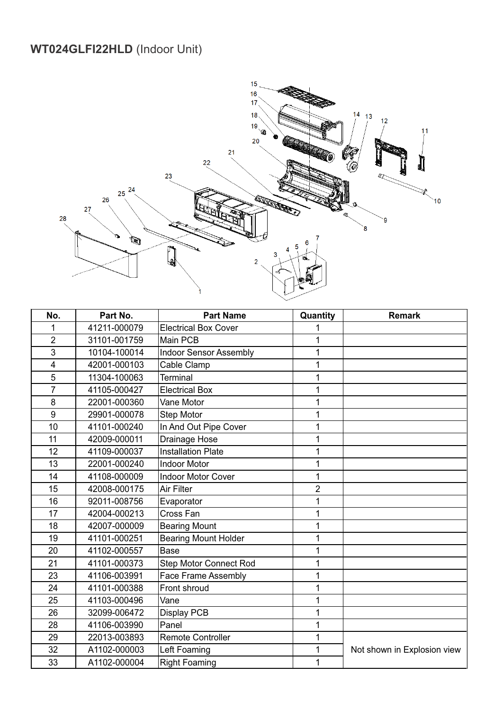#### **WT024GLFI22HLD** (Indoor Unit)



| No.                     | Part No.     | <b>Part Name</b>              | Quantity       | <b>Remark</b>               |
|-------------------------|--------------|-------------------------------|----------------|-----------------------------|
| 1                       | 41211-000079 | <b>Electrical Box Cover</b>   | 1              |                             |
| $\overline{2}$          | 31101-001759 | Main PCB                      | 1              |                             |
| 3                       | 10104-100014 | <b>Indoor Sensor Assembly</b> | 1              |                             |
| $\overline{\mathbf{4}}$ | 42001-000103 | Cable Clamp                   | 1              |                             |
| 5                       | 11304-100063 | Terminal                      | 1              |                             |
| $\overline{7}$          | 41105-000427 | <b>Electrical Box</b>         | 1              |                             |
| 8                       | 22001-000360 | Vane Motor                    | 1              |                             |
| 9                       | 29901-000078 | <b>Step Motor</b>             | 1              |                             |
| 10                      | 41101-000240 | In And Out Pipe Cover         | 1              |                             |
| 11                      | 42009-000011 | Drainage Hose                 | 1              |                             |
| 12                      | 41109-000037 | <b>Installation Plate</b>     | 1              |                             |
| 13                      | 22001-000240 | <b>Indoor Motor</b>           | 1              |                             |
| 14                      | 41108-000009 | <b>Indoor Motor Cover</b>     | 1              |                             |
| 15                      | 42008-000175 | Air Filter                    | $\overline{2}$ |                             |
| 16                      | 92011-008756 | Evaporator                    | 1              |                             |
| 17                      | 42004-000213 | Cross Fan                     | 1              |                             |
| 18                      | 42007-000009 | <b>Bearing Mount</b>          | 1              |                             |
| 19                      | 41101-000251 | <b>Bearing Mount Holder</b>   | 1              |                             |
| 20                      | 41102-000557 | <b>Base</b>                   | 1              |                             |
| 21                      | 41101-000373 | <b>Step Motor Connect Rod</b> | 1              |                             |
| 23                      | 41106-003991 | Face Frame Assembly           | 1              |                             |
| 24                      | 41101-000388 | Front shroud                  | 1              |                             |
| 25                      | 41103-000496 | Vane                          | 1              |                             |
| 26                      | 32099-006472 | <b>Display PCB</b>            | 1              |                             |
| 28                      | 41106-003990 | Panel                         | 1              |                             |
| 29                      | 22013-003893 | <b>Remote Controller</b>      | 1              |                             |
| 32                      | A1102-000003 | Left Foaming                  | 1              | Not shown in Explosion view |
| 33                      | A1102-000004 | <b>Right Foaming</b>          | 1              |                             |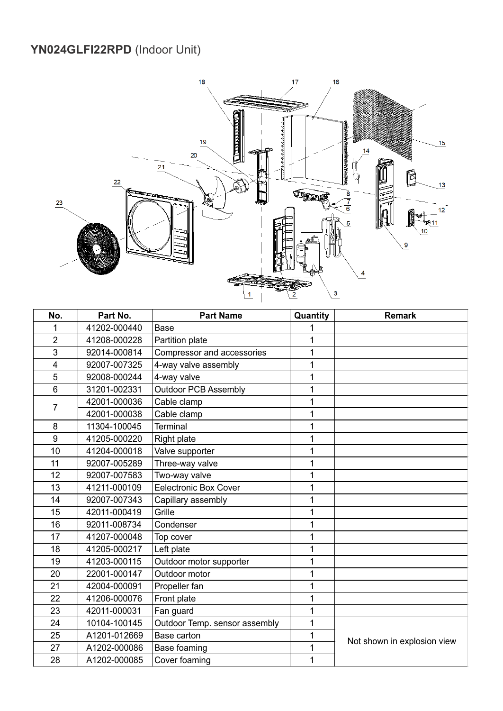#### **YN024GLFI22RPD** (Indoor Unit)



| No.            | Part No.     | <b>Part Name</b>              | Quantity | <b>Remark</b>               |
|----------------|--------------|-------------------------------|----------|-----------------------------|
| 1              | 41202-000440 | Base                          |          |                             |
| $\overline{2}$ | 41208-000228 | Partition plate               | 1        |                             |
| 3              | 92014-000814 | Compressor and accessories    | 1        |                             |
| $\overline{4}$ | 92007-007325 | 4-way valve assembly          | 1        |                             |
| 5              | 92008-000244 | 4-way valve                   | 1        |                             |
| 6              | 31201-002331 | <b>Outdoor PCB Assembly</b>   | 1        |                             |
| $\overline{7}$ | 42001-000036 | Cable clamp                   | 1        |                             |
|                | 42001-000038 | Cable clamp                   | 1        |                             |
| 8              | 11304-100045 | <b>Terminal</b>               | 1        |                             |
| 9              | 41205-000220 | Right plate                   | 1        |                             |
| 10             | 41204-000018 | Valve supporter               | 1        |                             |
| 11             | 92007-005289 | Three-way valve               | 1        |                             |
| 12             | 92007-007583 | Two-way valve                 | 1        |                             |
| 13             | 41211-000109 | <b>Eelectronic Box Cover</b>  | 1        |                             |
| 14             | 92007-007343 | Capillary assembly            | 1        |                             |
| 15             | 42011-000419 | Grille                        | 1        |                             |
| 16             | 92011-008734 | Condenser                     | 1        |                             |
| 17             | 41207-000048 | Top cover                     | 1        |                             |
| 18             | 41205-000217 | Left plate                    | 1        |                             |
| 19             | 41203-000115 | Outdoor motor supporter       | 1        |                             |
| 20             | 22001-000147 | Outdoor motor                 | 1        |                             |
| 21             | 42004-000091 | Propeller fan                 | 1        |                             |
| 22             | 41206-000076 | Front plate                   | 1        |                             |
| 23             | 42011-000031 | Fan guard                     | 1        |                             |
| 24             | 10104-100145 | Outdoor Temp. sensor assembly | 1        |                             |
| 25             | A1201-012669 | Base carton                   | 1        |                             |
| 27             | A1202-000086 | Base foaming                  | 1        | Not shown in explosion view |
| 28             | A1202-000085 | Cover foaming                 | 1        |                             |